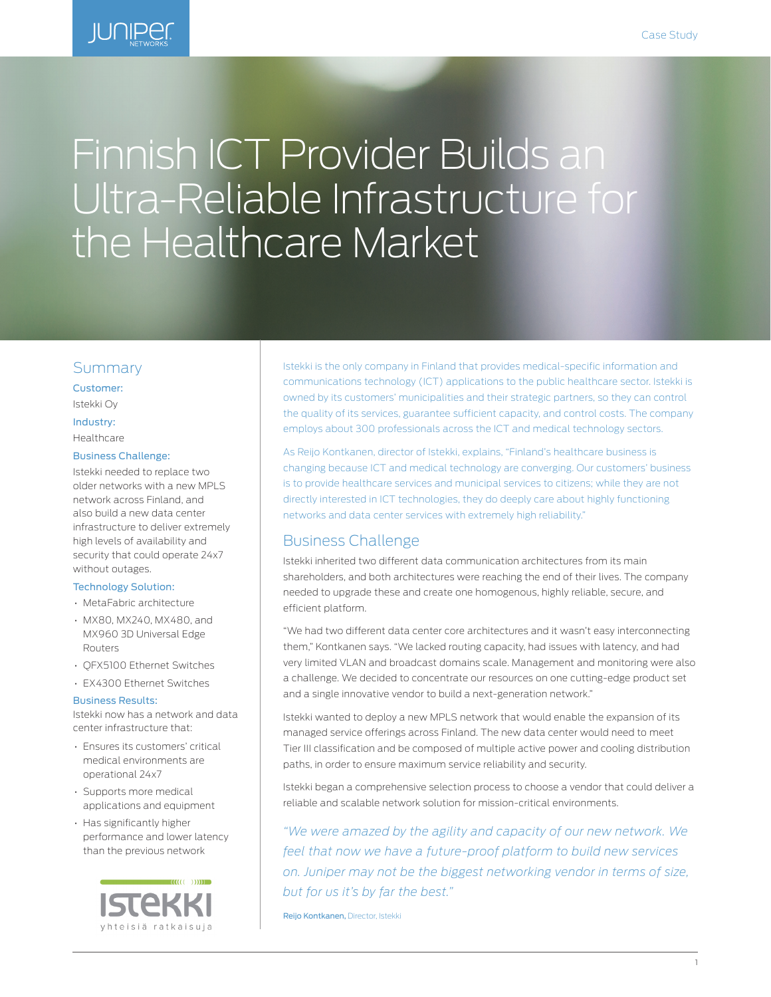

# Finnish ICT Provider Builds an Ultra-Reliable Infrastructure for the Healthcare Market

### Summary

Customer: Istekki Oy

Industry:

# Healthcare

#### Business Challenge:

Istekki needed to replace two older networks with a new MPLS network across Finland, and also build a new data center infrastructure to deliver extremely high levels of availability and security that could operate 24x7 without outages.

#### Technology Solution:

- MetaFabric architecture
- MX80, MX240, MX480, and MX960 3D Universal Edge Routers
- QFX5100 Ethernet Switches
- EX4300 Ethernet Switches

#### Business Results:

Istekki now has a network and data center infrastructure that:

- Ensures its customers' critical medical environments are operational 24x7
- Supports more medical applications and equipment
- Has significantly higher performance and lower latency than the previous network



Istekki is the only company in Finland that provides medical-specific information and communications technology (ICT) applications to the public healthcare sector. Istekki is owned by its customers' municipalities and their strategic partners, so they can control the quality of its services, guarantee sufficient capacity, and control costs. The company employs about 300 professionals across the ICT and medical technology sectors.

As Reijo Kontkanen, director of Istekki, explains, "Finland's healthcare business is changing because ICT and medical technology are converging. Our customers' business is to provide healthcare services and municipal services to citizens; while they are not directly interested in ICT technologies, they do deeply care about highly functioning networks and data center services with extremely high reliability."

# Business Challenge

Istekki inherited two different data communication architectures from its main shareholders, and both architectures were reaching the end of their lives. The company needed to upgrade these and create one homogenous, highly reliable, secure, and efficient platform.

"We had two different data center core architectures and it wasn't easy interconnecting them," Kontkanen says. "We lacked routing capacity, had issues with latency, and had very limited VLAN and broadcast domains scale. Management and monitoring were also a challenge. We decided to concentrate our resources on one cutting-edge product set and a single innovative vendor to build a next-generation network."

Istekki wanted to deploy a new MPLS network that would enable the expansion of its managed service offerings across Finland. The new data center would need to meet Tier III classification and be composed of multiple active power and cooling distribution paths, in order to ensure maximum service reliability and security.

Istekki began a comprehensive selection process to choose a vendor that could deliver a reliable and scalable network solution for mission-critical environments.

*"We were amazed by the agility and capacity of our new network. We feel that now we have a future-proof platform to build new services on. Juniper may not be the biggest networking vendor in terms of size, but for us it's by far the best."*

Reijo Kontkanen, Director, Istekki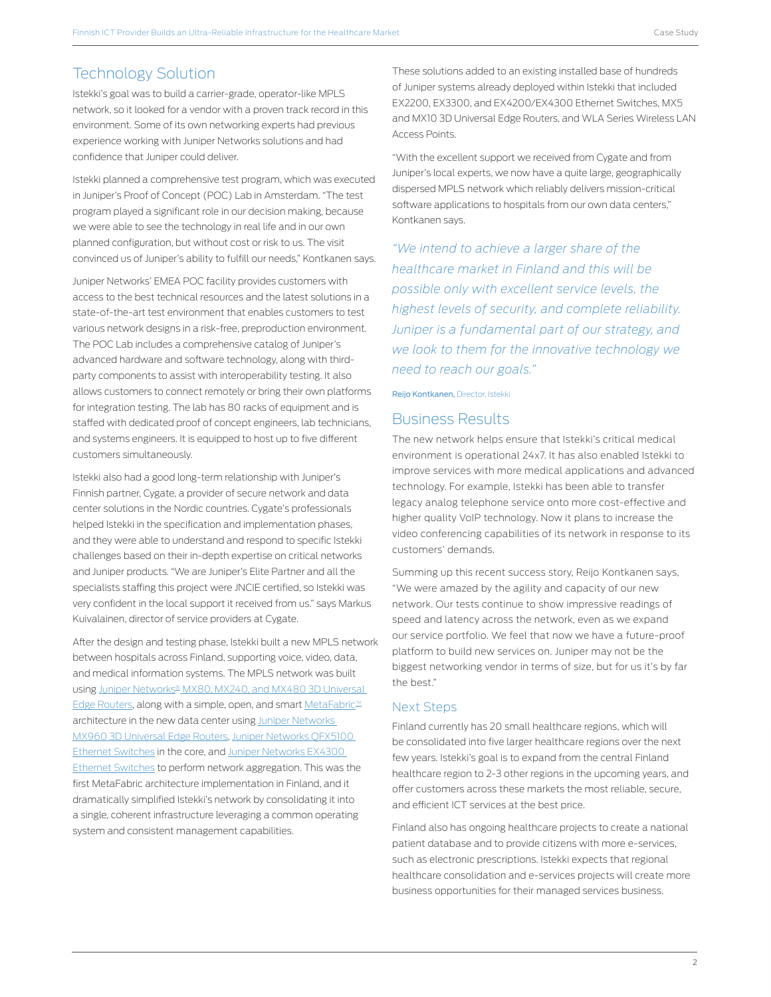# Technology Solution

Istekki's goal was to build a carrier-grade, operator-like MPLS network, so it looked for a vendor with a proven track record in this environment. Some of its own networking experts had previous experience working with Juniper Networks solutions and had confidence that Juniper could deliver.

Istekki planned a comprehensive test program, which was executed in Juniper's Proof of Concept (POC) Lab in Amsterdam. "The test program played a significant role in our decision making, because we were able to see the technology in real life and in our own planned configuration, but without cost or risk to us. The visit convinced us of Juniper's ability to fulfill our needs," Kontkanen says.

Juniper Networks' EMEA POC facility provides customers with access to the best technical resources and the latest solutions in a state-of-the-art test environment that enables customers to test various network designs in a risk-free, preproduction environment. The POC Lab includes a comprehensive catalog of Juniper's advanced hardware and software technology, along with thirdparty components to assist with interoperability testing. It also allows customers to connect remotely or bring their own platforms for integration testing. The lab has 80 racks of equipment and is staffed with dedicated proof of concept engineers, lab technicians, and systems engineers. It is equipped to host up to five different customers simultaneously.

Istekki also had a good long-term relationship with Juniper's Finnish partner, Cygate, a provider of secure network and data center solutions in the Nordic countries. Cygate's professionals helped Istekki in the specification and implementation phases, and they were able to understand and respond to specific Istekki challenges based on their in-depth expertise on critical networks and Juniper products. "We are Juniper's Elite Partner and all the specialists staffing this project were JNCIE certified, so Istekki was very confident in the local support it received from us." says Markus Kuivalainen, director of service providers at Cygate.

After the design and testing phase, Istekki built a new MPLS network between hospitals across Finland, supporting voice, video, data, and medical information systems. The MPLS network was built using [Juniper Networks® MX80, MX240, and MX480 3D Universal](https://www.juniper.net/us/en/products-services/routing/mx-series/)  [Edge Routers](https://www.juniper.net/us/en/products-services/routing/mx-series/), along with a simple, open, and smart [MetaFabric™](http://www.juniper.net/us/en/solutions/datacenter/) architecture in the new data center using [Juniper Networks](https://www.juniper.net/us/en/products-services/routing/mx-series/)  [MX960 3D Universal Edge Routers,](https://www.juniper.net/us/en/products-services/routing/mx-series/) [Juniper Networks QFX5100](http://www.juniper.net/us/en/products-services/switching/qfx-series/)  [Ethernet Switches](http://www.juniper.net/us/en/products-services/switching/qfx-series/) in the core, and [Juniper Networks EX4300](http://www.juniper.net/us/en/products-services/switching/ex-series/)  [Ethernet Switches](http://www.juniper.net/us/en/products-services/switching/ex-series/) to perform network aggregation. This was the first MetaFabric architecture implementation in Finland, and it dramatically simplified Istekki's network by consolidating it into a single, coherent infrastructure leveraging a common operating system and consistent management capabilities.

These solutions added to an existing installed base of hundreds of Juniper systems already deployed within Istekki that included EX2200, EX3300, and EX4200/EX4300 Ethernet Switches, MX5 and MX10 3D Universal Edge Routers, and WLA Series Wireless LAN Access Points.

"With the excellent support we received from Cygate and from Juniper's local experts, we now have a quite large, geographically dispersed MPLS network which reliably delivers mission-critical software applications to hospitals from our own data centers," Kontkanen says.

*"We intend to achieve a larger share of the healthcare market in Finland and this will be possible only with excellent service levels, the highest levels of security, and complete reliability. Juniper is a fundamental part of our strategy, and we look to them for the innovative technology we need to reach our goals."*

Reijo Kontkanen, Director, Istekki

## Business Results

The new network helps ensure that Istekki's critical medical environment is operational 24x7. It has also enabled Istekki to improve services with more medical applications and advanced technology. For example, Istekki has been able to transfer legacy analog telephone service onto more cost-effective and higher quality VoIP technology. Now it plans to increase the video conferencing capabilities of its network in response to its customers' demands.

Summing up this recent success story, Reijo Kontkanen says, "We were amazed by the agility and capacity of our new network. Our tests continue to show impressive readings of speed and latency across the network, even as we expand our service portfolio. We feel that now we have a future-proof platform to build new services on. Juniper may not be the biggest networking vendor in terms of size, but for us it's by far the best."

#### Next Steps

Finland currently has 20 small healthcare regions, which will be consolidated into five larger healthcare regions over the next few years. Istekki's goal is to expand from the central Finland healthcare region to 2-3 other regions in the upcoming years, and offer customers across these markets the most reliable, secure, and efficient ICT services at the best price.

Finland also has ongoing healthcare projects to create a national patient database and to provide citizens with more e-services, such as electronic prescriptions. Istekki expects that regional healthcare consolidation and e-services projects will create more business opportunities for their managed services business.